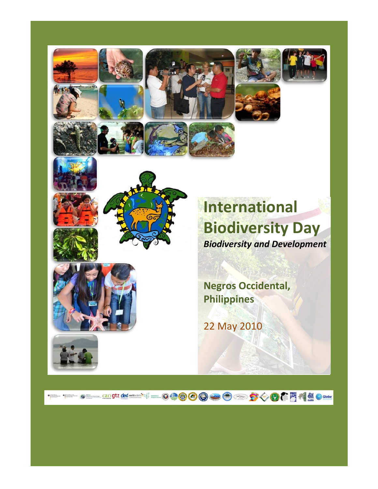









**Negros Occidental, Philippines**

22 May 2010

**THE SECRET RESIDENCE OF BOOD OF A SALE REAL PROPERTY.**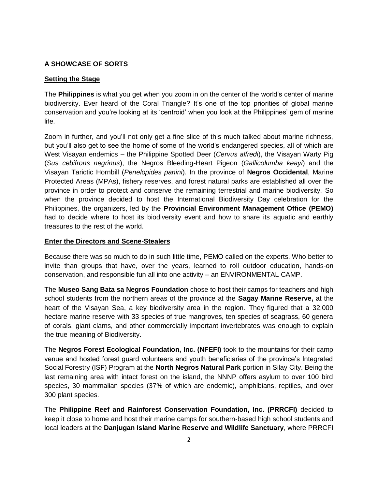# **A SHOWCASE OF SORTS**

## **Setting the Stage**

The **Philippines** is what you get when you zoom in on the center of the world"s center of marine biodiversity. Ever heard of the Coral Triangle? It's one of the top priorities of global marine conservation and you"re looking at its "centroid" when you look at the Philippines" gem of marine life.

Zoom in further, and you"ll not only get a fine slice of this much talked about marine richness, but you"ll also get to see the home of some of the world"s endangered species, all of which are West Visayan endemics – the Philippine Spotted Deer (*Cervus alfredi*), the Visayan Warty Pig (*Sus cebifrons negrinus*), the Negros Bleeding-Heart Pigeon (*Gallicolumba keayi*) and the Visayan Tarictic Hornbill (*Penelopides panini*). In the province of **Negros Occidental**, Marine Protected Areas (MPAs), fishery reserves, and forest natural parks are established all over the province in order to protect and conserve the remaining terrestrial and marine biodiversity. So when the province decided to host the International Biodiversity Day celebration for the Philippines, the organizers, led by the **Provincial Environment Management Office (PEMO)** had to decide where to host its biodiversity event and how to share its aquatic and earthly treasures to the rest of the world.

### **Enter the Directors and Scene-Stealers**

Because there was so much to do in such little time, PEMO called on the experts. Who better to invite than groups that have, over the years, learned to roll outdoor education, hands-on conservation, and responsible fun all into one activity – an ENVIRONMENTAL CAMP.

The **Museo Sang Bata sa Negros Foundation** chose to host their camps for teachers and high school students from the northern areas of the province at the **Sagay Marine Reserve,** at the heart of the Visayan Sea, a key biodiversity area in the region. They figured that a 32,000 hectare marine reserve with 33 species of true mangroves, ten species of seagrass, 60 genera of corals, giant clams, and other commercially important invertebrates was enough to explain the true meaning of Biodiversity.

The **Negros Forest Ecological Foundation, Inc. (NFEFI)** took to the mountains for their camp venue and hosted forest guard volunteers and youth beneficiaries of the province"s Integrated Social Forestry (ISF) Program at the **North Negros Natural Park** portion in Silay City. Being the last remaining area with intact forest on the island, the NNNP offers asylum to over 100 bird species, 30 mammalian species (37% of which are endemic), amphibians, reptiles, and over 300 plant species.

The **Philippine Reef and Rainforest Conservation Foundation, Inc. (PRRCFI)** decided to keep it close to home and host their marine camps for southern-based high school students and local leaders at the **Danjugan Island Marine Reserve and Wildlife Sanctuary**, where PRRCFI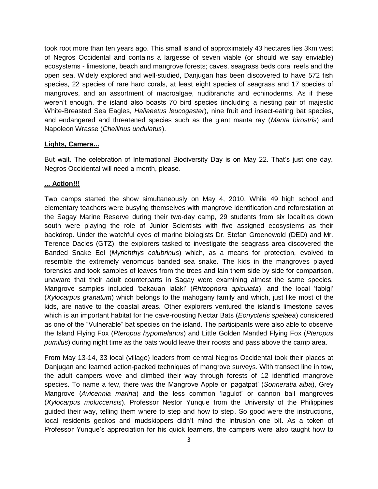took root more than ten years ago. This small island of approximately 43 hectares lies 3km west of Negros Occidental and contains a largesse of seven viable (or should we say enviable) ecosystems - limestone, beach and mangrove forests; caves, seagrass beds coral reefs and the open sea. Widely explored and well-studied, Danjugan has been discovered to have 572 fish species, 22 species of rare hard corals, at least eight species of seagrass and 17 species of mangroves, and an assortment of macroalgae, nudibranchs and echinoderms. As if these weren"t enough, the island also boasts 70 bird species (including a nesting pair of majestic White-Breasted Sea Eagles, *Haliaeetus leucogaster*), nine fruit and insect-eating bat species, and endangered and threatened species such as the giant manta ray (*Manta birostris*) and Napoleon Wrasse (*Cheilinus undulatus*).

### **Lights, Camera...**

But wait. The celebration of International Biodiversity Day is on May 22. That's just one day. Negros Occidental will need a month, please.

## **... Action!!!**

Two camps started the show simultaneously on May 4, 2010. While 49 high school and elementary teachers were busying themselves with mangrove identification and reforestation at the Sagay Marine Reserve during their two-day camp, 29 students from six localities down south were playing the role of Junior Scientists with five assigned ecosystems as their backdrop. Under the watchful eyes of marine biologists Dr. Stefan Groenewold (DED) and Mr. Terence Dacles (GTZ), the explorers tasked to investigate the seagrass area discovered the Banded Snake Eel (*Myrichthys colubrinus*) which, as a means for protection, evolved to resemble the extremely venomous banded sea snake. The kids in the mangroves played forensics and took samples of leaves from the trees and lain them side by side for comparison, unaware that their adult counterparts in Sagay were examining almost the same species. Mangrove samples included "bakauan lalaki" (*Rhizophora apiculata*), and the local "tabigi" (*Xylocarpus granatum*) which belongs to the mahogany family and which, just like most of the kids, are native to the coastal areas. Other explorers ventured the island"s limestone caves which is an important habitat for the cave-roosting Nectar Bats (*Eonycteris spelaea*) considered as one of the "Vulnerable" bat species on the island. The participants were also able to observe the Island Flying Fox (*Pteropus hypomelanus*) and Little Golden Mantled Flying Fox (*Pteropus pumilus*) during night time as the bats would leave their roosts and pass above the camp area.

From May 13-14, 33 local (village) leaders from central Negros Occidental took their places at Danjugan and learned action-packed techniques of mangrove surveys. With transect line in tow, the adult campers wove and climbed their way through forests of 12 identified mangrove species. To name a few, there was the Mangrove Apple or "pagatpat" (*Sonneratia alba*), Grey Mangrove (*Avicennia marina*) and the less common "lagulot" or cannon ball mangroves (*Xylocarpus moluccensis*). Professor Nestor Yunque from the University of the Philippines guided their way, telling them where to step and how to step. So good were the instructions, local residents geckos and mudskippers didn"t mind the intrusion one bit. As a token of Professor Yunque"s appreciation for his quick learners, the campers were also taught how to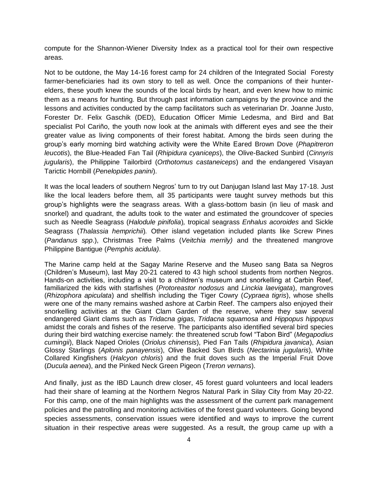compute for the Shannon-Wiener Diversity Index as a practical tool for their own respective areas.

Not to be outdone, the May 14-16 forest camp for 24 children of the Integrated Social Foresty farmer-beneficiaries had its own story to tell as well. Once the companions of their hunterelders, these youth knew the sounds of the local birds by heart, and even knew how to mimic them as a means for hunting. But through past information campaigns by the province and the lessons and activities conducted by the camp facilitators such as veterinarian Dr. Joanne Justo, Forester Dr. Felix Gaschik (DED), Education Officer Mimie Ledesma, and Bird and Bat specialist Pol Cariño, the youth now look at the animals with different eyes and see the their greater value as living components of their forest habitat. Among the birds seen during the group"s early morning bird watching activity were the White Eared Brown Dove (*Phapitreron leucotis*), the Blue-Headed Fan Tail (*Rhipidura cyaniceps*), the Olive-Backed Sunbird (*Cinnyris jugularis*), the Philippine Tailorbird (*Orthotomus castaneiceps*) and the endangered Visayan Tarictic Hornbill (*Penelopides panini*).

It was the local leaders of southern Negros' turn to try out Danjugan Island last May 17-18. Just like the local leaders before them, all 35 participants were taught survey methods but this group"s highlights were the seagrass areas. With a glass-bottom basin (in lieu of mask and snorkel) and quadrant, the adults took to the water and estimated the groundcover of species such as Needle Seagrass (*Halodule pinifolia*)*,* tropical seagrass *Enhalus acoroides* and Sickle Seagrass (*Thalassia hemprichii*)*.* Other island vegetation included plants like Screw Pines (*Pandanus spp*.), Christmas Tree Palms (*Veitchia merrily)* and the threatened mangrove Philippine Bantigue (*Pemphis acidula)*.

The Marine camp held at the Sagay Marine Reserve and the Museo sang Bata sa Negros (Children"s Museum), last May 20-21 catered to 43 high school students from northen Negros. Hands-on activities, including a visit to a children"s museum and snorkelling at Carbin Reef, familiarized the kids with starfishes (*Protoreastor nodosus* and *Linckia laevigata*), mangroves (*Rhizophora apiculata*) and shellfish including the Tiger Cowry (*Cypraea tigris*), whose shells were one of the many remains washed ashore at Carbin Reef. The campers also enjoyed their snorkelling activities at the Giant Clam Garden of the reserve, where they saw several endangered Giant clams such as *Tridacna gigas, Tridacna squamosa* and *Hippopus hippopus* amidst the corals and fishes of the reserve. The participants also identified several bird species during their bird watching exercise namely: the threatened scrub fowl "Tabon Bird" (*Megapodius cumingii*), Black Naped Orioles (*Oriolus chinensis*), Pied Fan Tails (*Rhipidura javanica*), Asian Glossy Starlings (*Aplonis panayensis*), Olive Backed Sun Birds (*Nectarinia jugularis*), White Collared Kingfishers (*Halcyon chloris*) and the fruit doves such as the Imperial Fruit Dove (*Ducula aenea*), and the Pinked Neck Green Pigeon (*Treron vernans*).

And finally, just as the IBD Launch drew closer, 45 forest guard volunteers and local leaders had their share of learning at the Northern Negros Natural Park in Silay City from May 20-22. For this camp, one of the main highlights was the assessment of the current park management policies and the patrolling and monitoring activities of the forest guard volunteers. Going beyond species assessments, conservation issues were identified and ways to improve the current situation in their respective areas were suggested. As a result, the group came up with a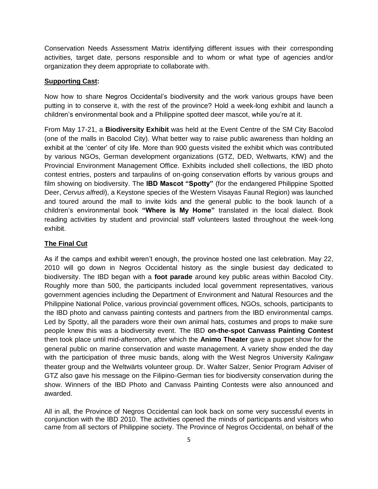Conservation Needs Assessment Matrix identifying different issues with their corresponding activities, target date, persons responsible and to whom or what type of agencies and/or organization they deem appropriate to collaborate with.

## **Supporting Cast:**

Now how to share Negros Occidental"s biodiversity and the work various groups have been putting in to conserve it, with the rest of the province? Hold a week-long exhibit and launch a children"s environmental book and a Philippine spotted deer mascot, while you"re at it.

From May 17-21, a **Biodiversity Exhibit** was held at the Event Centre of the SM City Bacolod (one of the malls in Bacolod City). What better way to raise public awareness than holding an exhibit at the "center" of city life. More than 900 guests visited the exhibit which was contributed by various NGOs, German development organizations (GTZ, DED, Weltwarts, KfW) and the Provincial Environment Management Office. Exhibits included shell collections, the IBD photo contest entries, posters and tarpaulins of on-going conservation efforts by various groups and film showing on biodiversity. The **IBD Mascot "Spotty"** (for the endangered Philippine Spotted Deer, *Cervus alfredi*), a Keystone species of the Western Visayas Faunal Region) was launched and toured around the mall to invite kids and the general public to the book launch of a children"s environmental book **"Where is My Home"** translated in the local dialect. Book reading activities by student and provincial staff volunteers lasted throughout the week-long exhibit.

# **The Final Cut**

As if the camps and exhibit weren"t enough, the province hosted one last celebration. May 22, 2010 will go down in Negros Occidental history as the single busiest day dedicated to biodiversity. The IBD began with a **foot parade** around key public areas within Bacolod City. Roughly more than 500, the participants included local government representatives, various government agencies including the Department of Environment and Natural Resources and the Philippine National Police, various provincial government offices, NGOs, schools, participants to the IBD photo and canvass painting contests and partners from the IBD environmental camps. Led by Spotty, all the paraders wore their own animal hats, costumes and props to make sure people knew this was a biodiversity event. The IBD **on-the-spot Canvass Painting Contest** then took place until mid-afternoon, after which the **Animo Theater** gave a puppet show for the general public on marine conservation and waste management. A variety show ended the day with the participation of three music bands, along with the West Negros University *Kalingaw* theater group and the Weltwärts volunteer group. Dr. Walter Salzer, Senior Program Adviser of GTZ also gave his message on the Filipino-German ties for biodiversity conservation during the show. Winners of the IBD Photo and Canvass Painting Contests were also announced and awarded.

All in all, the Province of Negros Occidental can look back on some very successful events in conjunction with the IBD 2010. The activities opened the minds of participants and visitors who came from all sectors of Philippine society. The Province of Negros Occidental, on behalf of the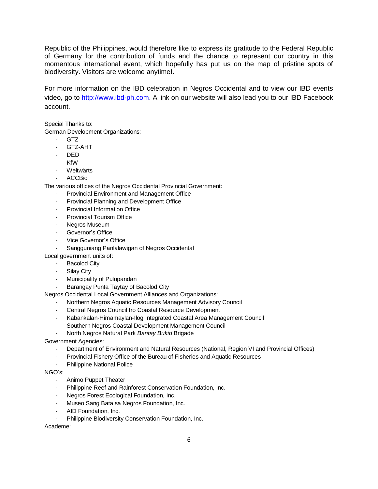Republic of the Philippines, would therefore like to express its gratitude to the Federal Republic of Germany for the contribution of funds and the chance to represent our country in this momentous international event, which hopefully has put us on the map of pristine spots of biodiversity. Visitors are welcome anytime!.

For more information on the IBD celebration in Negros Occidental and to view our IBD events video, go to [http://www.ibd-ph.com.](http://www.ibd-ph.com/) A link on our website will also lead you to our IBD Facebook account.

Special Thanks to:

German Development Organizations:

- GTZ
- GTZ-AHT
- DED
- KfW
- Weltwärts
- ACCBio

The various offices of the Negros Occidental Provincial Government:

- Provincial Environment and Management Office
- Provincial Planning and Development Office
- Provincial Information Office
- Provincial Tourism Office
- Negros Museum
- Governor"s Office
- Vice Governor"s Office
- Sangguniang Panlalawigan of Negros Occidental

Local government units of:

- Bacolod City
- Silay City
- Municipality of Pulupandan
- Barangay Punta Taytay of Bacolod City

Negros Occidental Local Government Alliances and Organizations:

- Northern Negros Aquatic Resources Management Advisory Council
- Central Negros Council fro Coastal Resource Development
- Kabankalan-Himamaylan-Ilog Integrated Coastal Area Management Council
- Southern Negros Coastal Development Management Council
- North Negros Natural Park *Bantay Bukid* Brigade

Government Agencies:

- Department of Environment and Natural Resources (National, Region VI and Provincial Offices)
- Provincial Fishery Office of the Bureau of Fisheries and Aquatic Resources
- Philippine National Police

#### NGO"s:

- Animo Puppet Theater
- Philippine Reef and Rainforest Conservation Foundation, Inc.
- Negros Forest Ecological Foundation, Inc.
- Museo Sang Bata sa Negros Foundation, Inc.
- AID Foundation, Inc.
- Philippine Biodiversity Conservation Foundation, Inc.

Academe: